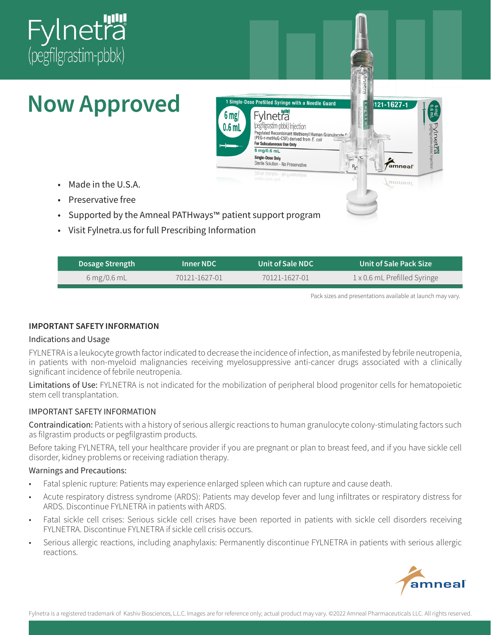

# **Now Approved**

- Made in the U.S.A.
- Preservative free
- Supported by the Amneal PATHways™ patient support program
- Visit Fylnetra.us for full Prescribing Information

| <b>Dosage Strength</b> | Inner NDC           | Unit of Sale NDC | ∣ Unit of Sale Pack Size <sup>।</sup> |
|------------------------|---------------------|------------------|---------------------------------------|
| 6 mg/0.6 mL            | $70121 - 1627 - 01$ | 70121-1627-01    | 1 x 0.6 mL Prefilled Syringe          |

1 Single-Dose Prefilled Syringe with a Needle Guard

Pegylated Recombinant Methionyl Human Granulocyte<br>Pegylated Recombinant Methionyl Human Granulocyte<br>(PEG-metHuG-CSF) derived from E. coli

Fylneträ pegtilgrastim-pbbk) Injection

For Subcutaneous Use Only 6 mg/0.6 mL Single-Dose Only

Sterile Solution - No Preservative

Jiution - No Preservau

6<sub>mg</sub>

0.6 m

Pack sizes and presentations available at launch may vary.

121-1627-1

*<u>Amneal</u>* 

amneal

 $R_X($ 

Fylnetra

#### IMPORTANT SAFETY INFORMATION

#### Indications and Usage

FYLNETRA is a leukocyte growth factor indicated to decrease the incidence of infection, as manifested by febrile neutropenia, in patients with non-myeloid malignancies receiving myelosuppressive anti-cancer drugs associated with a clinically significant incidence of febrile neutropenia.

Limitations of Use: FYLNETRA is not indicated for the mobilization of peripheral blood progenitor cells for hematopoietic stem cell transplantation.

#### IMPORTANT SAFETY INFORMATION

Contraindication: Patients with a history of serious allergic reactions to human granulocyte colony-stimulating factors such as filgrastim products or pegfilgrastim products.

Before taking FYLNETRA, tell your healthcare provider if you are pregnant or plan to breast feed, and if you have sickle cell disorder, kidney problems or receiving radiation therapy.

#### Warnings and Precautions:

- Fatal splenic rupture: Patients may experience enlarged spleen which can rupture and cause death.
- Acute respiratory distress syndrome (ARDS): Patients may develop fever and lung infiltrates or respiratory distress for ARDS. Discontinue FYLNETRA in patients with ARDS.
- Fatal sickle cell crises: Serious sickle cell crises have been reported in patients with sickle cell disorders receiving FYLNETRA. Discontinue FYLNETRA if sickle cell crisis occurs.
- Serious allergic reactions, including anaphylaxis: Permanently discontinue FYLNETRA in patients with serious allergic reactions.

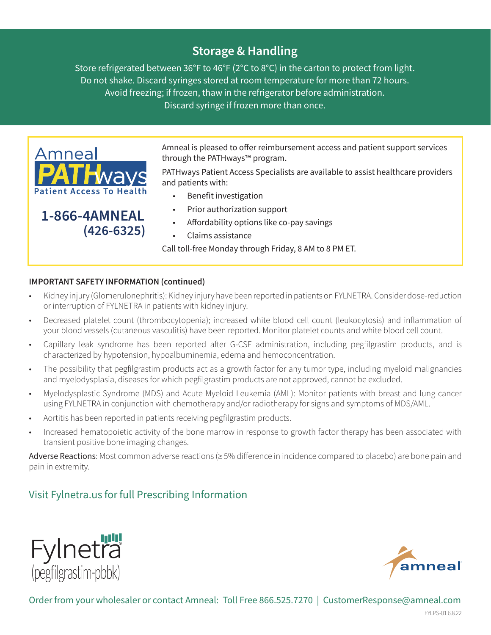# Storage & Handling

Store refrigerated between 36°F to 46°F (2°C to 8°C) in the carton to protect from light. Do not shake. Discard syringes stored at room temperature for more than 72 hours. Avoid freezing; if frozen, thaw in the refrigerator before administration. Discard syringe if frozen more than once.



Amneal is pleased to offer reimbursement access and patient support services through the PATHways™ program.

PATHways Patient Access Specialists are available to assist healthcare providers and patients with:

- Benefit investigation
- Prior authorization support
- Affordability options like co-pay savings
- Claims assistance

Call toll-free Monday through Friday, 8 AM to 8 PM ET.

#### IMPORTANT SAFETY INFORMATION (continued)

- Kidney injury (Glomerulonephritis): Kidney injury have been reported in patients on FYLNETRA. Consider dose-reduction or interruption of FYLNETRA in patients with kidney injury.
- Decreased platelet count (thrombocytopenia); increased white blood cell count (leukocytosis) and inflammation of your blood vessels (cutaneous vasculitis) have been reported. Monitor platelet counts and white blood cell count.
- Capillary leak syndrome has been reported after G-CSF administration, including pegfilgrastim products, and is characterized by hypotension, hypoalbuminemia, edema and hemoconcentration.
- The possibility that pegfilgrastim products act as a growth factor for any tumor type, including myeloid malignancies and myelodysplasia, diseases for which pegfilgrastim products are not approved, cannot be excluded.
- Myelodysplastic Syndrome (MDS) and Acute Myeloid Leukemia (AML): Monitor patients with breast and lung cancer using FYLNETRA in conjunction with chemotherapy and/or radiotherapy for signs and symptoms of MDS/AML.
- Aortitis has been reported in patients receiving pegfilgrastim products.
- Increased hematopoietic activity of the bone marrow in response to growth factor therapy has been associated with transient positive bone imaging changes.

Adverse Reactions: Most common adverse reactions (≥ 5% difference in incidence compared to placebo) are bone pain and pain in extremity.

# Visit Fylnetra.us forfull Prescribing Information





Order from your wholesaler or contact Amneal: Toll Free 866.525.7270 | CustomerResponse@amneal.com

FYLPS-01 6.8.22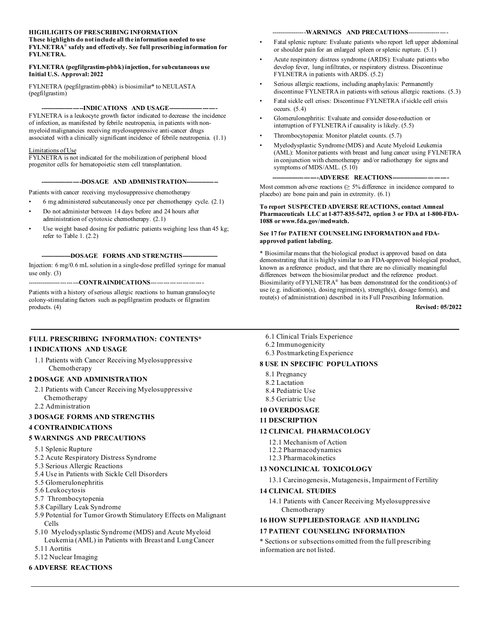#### **HIGHLIGHTS OF PRESCRIBING INFORMATION**

#### **These highlights do not include all the information needed to use FYLNETRA**® **safely and effectively. See full prescribing information for FYLNETRA.**

#### **FYLNETRA (pegfilgrastim-pbbk) injection, for subcutaneous use Initial U.S. Approval: 2022**

FYLNETRA (pegfilgrastim-pbbk) is biosimilar\* to NEULASTA (pegfilgrastim)

#### -**--INDICATIONS AND USAGE---**

FYLNETRA is a leukocyte growth factor indicated to decrease the incidence of infection, as manifested by febrile neutropenia, in patients with nonmyeloid malignancies receiving myelosuppressive anti-cancer drugs associated with a clinically significant incidence of febrile neutropenia. (1.1)

#### Limitations of Use

FYLNETRA is not indicated for the mobilization of peripheral blood progenitor cells for hematopoietic stem cell transplantation.

#### **--------------------DOSAGE AND ADMINISTRATION----------------**

Patients with cancer receiving myelosuppressive chemotherapy

- 6 mg administered subcutaneously once per chemotherapy cycle. (2.1)
- Do not administer between 14 days before and 24 hours after administration of cytotoxic chemotherapy. (2.1)
- Use weight based dosing for pediatric patients weighing less than 45 kg; refer to Table 1. (2.2)

---DOSAGE FORMS AND STRENGTHS---

Injection: 6 mg/0.6 mL solution in a single-dose prefilled syringe for manual use only. (3)

----CONTRAINDICATIONS---

Patients with a history of serious allergic reactions to human granulocyte colony-stimulating factors such as pegfilgrastim products or filgrastim products. (4)

#### **FULL PRESCRIBING INFORMATION: CONTENTS\***

#### **1 INDICATIONS AND USAGE**

1.1 Patients with Cancer Receiving Myelosuppressive Chemotherapy

#### **2 DOSAGE AND ADMINISTRATION**

- 2.1 Patients with Cancer Receiving Myelosuppressive
- Chemotherapy
- 2.2 Administration

#### **3 DOSAGE FORMS AND STRENGTHS**

#### **4 CONTRAINDICATIONS**

#### **5 WARNINGS AND PRECAUTIONS**

- 5.1 Splenic Rupture
- 5.2 Acute Respiratory Distress Syndrome
- 5.3 Serious Allergic Reactions
- 5.4 Use in Patients with Sickle Cell Disorders
- 5.5 Glomerulonephritis
- 5.6 Leukocytosis
- 5.7 Thrombocytopenia
- 5.8 Capillary Leak Syndrome
- 5.9 Potential for Tumor Growth Stimulatory Effects on Malignant Cells
- 5.10 Myelodysplastic Syndrome (MDS) and Acute Myeloid Leukemia (AML) in Patients with Breast and Lung Cancer
- 5.11 Aortitis
- 5.12 Nuclear Imaging

#### **6 ADVERSE REACTIONS**

#### ---WARNINGS AND PRECAUTIONS----

- Fatal splenic rupture: Evaluate patients who report left upper abdominal or shoulder pain for an enlarged spleen or splenic rupture. (5.1)
- Acute respiratory distress syndrome (ARDS): Evaluate patients who develop fever, lung infiltrates, or respiratory distress. Discontinue FYLNETRA in patients with ARDS. (5.2)
- Serious allergic reactions, including anaphylaxis: Permanently discontinue FYLNETRA in patients with serious allergic reactions. (5.3)
- Fatal sickle cell crises: Discontinue FYLNETRA if sickle cell crisis occurs. (5.4)
- Glomerulonephritis: Evaluate and consider dose-reduction or interruption of FYLNETRA if causality is likely. (5.5)
- Thrombocytopenia: Monitor platelet counts. (5.7)
- Myelodysplastic Syndrome (MDS) and Acute Myeloid Leukemia (AML): Monitor patients with breast and lung cancer using FYLNETRA in conjunction with chemotherapy and/or radiotherapy for signs and symptoms of MDS/AML. (5.10)

#### --ADVERSE REACTIONS---

Most common adverse reactions ( $\geq$  5% difference in incidence compared to placebo) are bone pain and pain in extremity. (6.1)

#### **To report SUSPECTED ADVERSE REACTIONS, contact Amneal Pharmaceuticals LLC at 1-877-835-5472, option 3 or FDA at 1-800-FDA-1088 or www.fda.gov/medwatch.**

#### **See 17 for PATIENT COUNSELING INFORMATION and FDAapproved patient labeling.**

\* Biosimilar means that the biological product is approved based on data demonstrating that it is highly similar to an FDA-approved biological product, known as a reference product, and that there are no clinically meaningful differences between the biosimilar product and the reference product. Biosimilarity of FYLNETRA® has been demonstrated for the condition(s) of use (e.g. indication(s), dosing regimen(s), strength(s), dosage form(s), and route(s) of administration) described in its Full Prescribing Information.

**Revised: 05/2022**

- 6.1 Clinical Trials Experience
- 6.2 Immunogenicity
- 6.3 Postmarketing Experience

#### **8 USE IN SPECIFIC POPULATIONS**

- 8.1 Pregnancy
- 8.2 Lactation
- 8.4 Pediatric Use
- 8.5 Geriatric Use

### **10 OVERDOSAGE**

#### **11 DESCRIPTION**

#### **12 CLINICAL PHARMACOLOGY**

- 12.1 Mechanism of Action
- 12.2 Pharmacodynamics
- 12.3 Pharmacokinetics

#### **13 NONCLINICAL TOXICOLOGY**

13.1 Carcinogenesis, Mutagenesis, Impairment of Fertility

#### **14 CLINICAL STUDIES**

14.1 Patients with Cancer Receiving Myelosuppressive Chemotherapy

#### **16 HOW SUPPLIED/STORAGE AND HANDLING 17 PATIENT COUNSELING INFORMATION**

\* Sections or subsections omitted from the full prescribing information are not listed.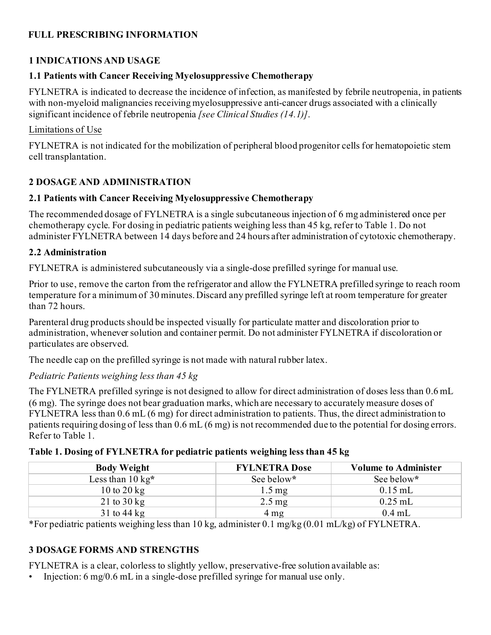### **FULL PRESCRIBING INFORMATION**

### **1 INDICATIONS AND USAGE**

### **1.1 Patients with Cancer Receiving Myelosuppressive Chemotherapy**

FYLNETRA is indicated to decrease the incidence of infection, as manifested by febrile neutropenia, in patients with non-myeloid malignancies receiving myelosuppressive anti-cancer drugs associated with a clinically significant incidence of febrile neutropenia *[see Clinical Studies (14.1)]*.

#### Limitations of Use

FYLNETRA is not indicated for the mobilization of peripheral blood progenitor cells for hematopoietic stem cell transplantation.

### **2 DOSAGE AND ADMINISTRATION**

### **2.1 Patients with Cancer Receiving Myelosuppressive Chemotherapy**

The recommended dosage of FYLNETRA is a single subcutaneous injection of 6 mg administered once per chemotherapy cycle. For dosing in pediatric patients weighing less than 45 kg, refer to Table 1. Do not administer FYLNETRA between 14 days before and 24 hours after administration of cytotoxic chemotherapy.

#### **2.2 Administration**

FYLNETRA is administered subcutaneously via a single-dose prefilled syringe for manual use.

Prior to use, remove the carton from the refrigerator and allow the FYLNETRA prefilled syringe to reach room temperature for a minimum of 30 minutes. Discard any prefilled syringe left at room temperature for greater than 72 hours.

Parenteral drug products should be inspected visually for particulate matter and discoloration prior to administration, whenever solution and container permit. Do not administer FYLNETRA if discoloration or particulates are observed.

The needle cap on the prefilled syringe is not made with natural rubber latex.

### *Pediatric Patients weighing less than 45 kg*

The FYLNETRA prefilled syringe is not designed to allow for direct administration of doses less than 0.6 mL (6 mg). The syringe does not bear graduation marks, which are necessary to accurately measure doses of FYLNETRA less than 0.6 mL (6 mg) for direct administration to patients. Thus, the direct administration to patients requiring dosing of less than 0.6 mL (6 mg) is not recommended due to the potential for dosing errors. Refer to Table 1.

| <b>Body Weight</b>          | <b>FYLNETRA Dose</b> | <b>Volume to Administer</b> |
|-----------------------------|----------------------|-----------------------------|
| Less than $10 \text{ kg}^*$ | See below*           | See below*                  |
| 10 to 20 kg                 | $1.5 \,\mathrm{mg}$  | $0.15$ mL                   |
| 21 to $30 \text{ kg}$       | $2.5 \,\mathrm{mg}$  | $0.25$ mL                   |
| $31$ to $44$ kg             | $4 \text{ mg}$       | $0.4$ mL                    |

\*For pediatric patients weighing less than 10 kg, administer 0.1 mg/kg (0.01 mL/kg) of FYLNETRA.

# **3 DOSAGE FORMS AND STRENGTHS**

FYLNETRA is a clear, colorless to slightly yellow, preservative-free solution available as:

• Injection: 6 mg/0.6 mL in a single-dose prefilled syringe for manual use only.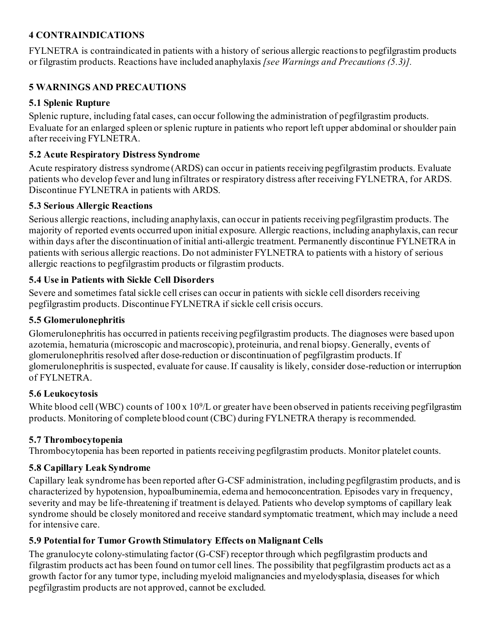### **4 CONTRAINDICATIONS**

FYLNETRA is contraindicated in patients with a history of serious allergic reactions to pegfilgrastim products or filgrastim products. Reactions have included anaphylaxis *[see Warnings and Precautions (5.3)].*

### **5 WARNINGS AND PRECAUTIONS**

#### **5.1 Splenic Rupture**

Splenic rupture, including fatal cases, can occur following the administration of pegfilgrastim products. Evaluate for an enlarged spleen or splenic rupture in patients who report left upper abdominal or shoulder pain after receiving FYLNETRA.

#### **5.2 Acute Respiratory Distress Syndrome**

Acute respiratory distress syndrome (ARDS) can occur in patients receiving pegfilgrastim products. Evaluate patients who develop fever and lung infiltrates or respiratory distress after receiving FYLNETRA, for ARDS. Discontinue FYLNETRA in patients with ARDS.

#### **5.3 Serious Allergic Reactions**

Serious allergic reactions, including anaphylaxis, can occur in patients receiving pegfilgrastim products. The majority of reported events occurred upon initial exposure. Allergic reactions, including anaphylaxis, can recur within days after the discontinuation of initial anti-allergic treatment. Permanently discontinue FYLNETRA in patients with serious allergic reactions. Do not administer FYLNETRA to patients with a history of serious allergic reactions to pegfilgrastim products or filgrastim products.

### **5.4 Use in Patients with Sickle Cell Disorders**

Severe and sometimes fatal sickle cell crises can occur in patients with sickle cell disorders receiving pegfilgrastim products. Discontinue FYLNETRA if sickle cell crisis occurs.

#### **5.5 Glomerulonephritis**

Glomerulonephritis has occurred in patients receiving pegfilgrastim products. The diagnoses were based upon azotemia, hematuria (microscopic and macroscopic), proteinuria, and renal biopsy. Generally, events of glomerulonephritis resolved after dose-reduction or discontinuation of pegfilgrastim products. If glomerulonephritis is suspected, evaluate for cause. If causality is likely, consider dose-reduction or interruption of FYLNETRA.

### **5.6 Leukocytosis**

White blood cell (WBC) counts of 100 x 10<sup>9</sup>/L or greater have been observed in patients receiving pegfilgrastim products. Monitoring of complete blood count (CBC) during FYLNETRA therapy is recommended.

#### **5.7 Thrombocytopenia**

Thrombocytopenia has been reported in patients receiving pegfilgrastim products. Monitor platelet counts.

### **5.8 Capillary Leak Syndrome**

Capillary leak syndrome has been reported after G-CSF administration, including pegfilgrastim products, and is characterized by hypotension, hypoalbuminemia, edema and hemoconcentration. Episodes vary in frequency, severity and may be life-threatening if treatment is delayed. Patients who develop symptoms of capillary leak syndrome should be closely monitored and receive standard symptomatic treatment, which may include a need for intensive care.

### **5.9 Potential for Tumor Growth Stimulatory Effects on Malignant Cells**

The granulocyte colony-stimulating factor (G-CSF) receptor through which pegfilgrastim products and filgrastim products act has been found on tumor cell lines. The possibility that pegfilgrastim products act as a growth factor for any tumor type, including myeloid malignancies and myelodysplasia, diseases for which pegfilgrastim products are not approved, cannot be excluded.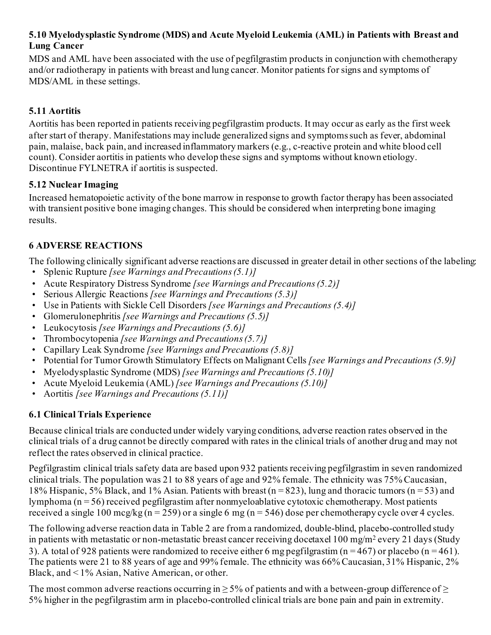#### **5.10 Myelodysplastic Syndrome (MDS) and Acute Myeloid Leukemia (AML) in Patients with Breast and Lung Cancer**

MDS and AML have been associated with the use of pegfilgrastim products in conjunction with chemotherapy and/or radiotherapy in patients with breast and lung cancer. Monitor patients for signs and symptoms of MDS/AML in these settings.

### **5.11 Aortitis**

Aortitis has been reported in patients receiving pegfilgrastim products. It may occur as early as the first week after start of therapy. Manifestations may include generalized signs and symptoms such as fever, abdominal pain, malaise, back pain, and increased inflammatory markers (e.g., c-reactive protein and white blood cell count). Consider aortitis in patients who develop these signs and symptoms without known etiology. Discontinue FYLNETRA if aortitis is suspected.

### **5.12 Nuclear Imaging**

Increased hematopoietic activity of the bone marrow in response to growth factor therapy has been associated with transient positive bone imaging changes. This should be considered when interpreting bone imaging results.

### **6 ADVERSE REACTIONS**

The following clinically significant adverse reactions are discussed in greater detail in other sections of the labeling:

- Splenic Rupture *[see Warnings and Precautions (5.1)]*
- Acute Respiratory Distress Syndrome *[see Warnings and Precautions (5.2)]*
- Serious Allergic Reactions *[see Warnings and Precautions (5.3)]*
- Use in Patients with Sickle Cell Disorders *[see Warnings and Precautions (5.4)]*
- Glomerulonephritis *[see Warnings and Precautions (5.5)]*
- Leukocytosis *[see Warnings and Precautions (5.6)]*
- Thrombocytopenia *[see Warnings and Precautions (5.7)]*
- Capillary Leak Syndrome *[see Warnings and Precautions (5.8)]*
- Potential for Tumor Growth Stimulatory Effects on Malignant Cells *[see Warnings and Precautions (5.9)]*
- Myelodysplastic Syndrome (MDS) *[see Warnings and Precautions (5.10)]*
- Acute Myeloid Leukemia (AML) *[see Warnings and Precautions (5.10)]*
- Aortitis *[see Warnings and Precautions (5.11)]*

# **6.1 Clinical Trials Experience**

Because clinical trials are conducted under widely varying conditions, adverse reaction rates observed in the clinical trials of a drug cannot be directly compared with rates in the clinical trials of another drug and may not reflect the rates observed in clinical practice.

Pegfilgrastim clinical trials safety data are based upon 932 patients receiving pegfilgrastim in seven randomized clinical trials. The population was 21 to 88 years of age and 92% female. The ethnicity was 75% Caucasian, 18% Hispanic, 5% Black, and 1% Asian. Patients with breast ( $n = 823$ ), lung and thoracic tumors ( $n = 53$ ) and lymphoma (n = 56) received pegfilgrastim after nonmyeloablative cytotoxic chemotherapy. Most patients received a single 100 mcg/kg (n = 259) or a single 6 mg (n = 546) dose per chemotherapy cycle over 4 cycles.

The following adverse reaction data in Table 2 are from a randomized, double-blind, placebo-controlled study in patients with metastatic or non-metastatic breast cancer receiving docetaxel 100 mg/m2 every 21 days (Study 3). A total of 928 patients were randomized to receive either 6 mg pegfilgrastim ( $n = 467$ ) or placebo ( $n = 461$ ). The patients were 21 to 88 years of age and 99% female. The ethnicity was 66% Caucasian, 31% Hispanic, 2% Black, and < 1% Asian, Native American, or other.

The most common adverse reactions occurring in  $\geq$  5% of patients and with a between-group difference of  $\geq$ 5% higher in the pegfilgrastim arm in placebo-controlled clinical trials are bone pain and pain in extremity.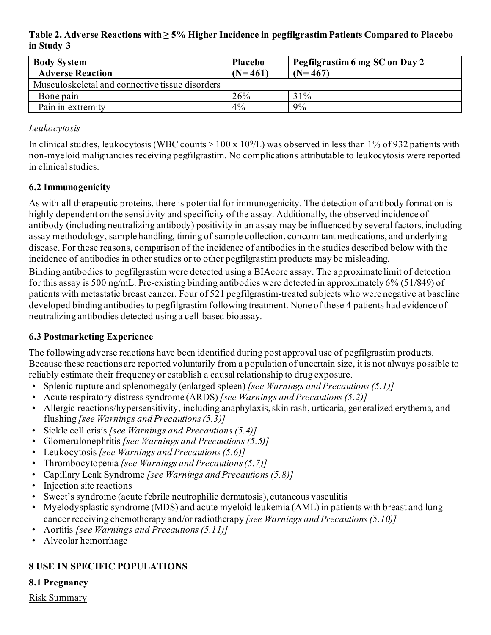**Table 2. Adverse Reactions with ≥ 5% Higher Incidence in pegfilgrastim Patients Compared to Placebo in Study 3**

| <b>Body System</b><br><b>Adverse Reaction</b>   | <b>Placebo</b><br>$(N=461)$ | Pegfilgrastim 6 mg SC on Day 2<br>$(N=467)$ |
|-------------------------------------------------|-----------------------------|---------------------------------------------|
| Musculoskeletal and connective tissue disorders |                             |                                             |
| Bone pain                                       | 26%                         | 31%                                         |
| Pain in extremity                               | 4%                          | 9%                                          |

#### *Leukocytosis*

In clinical studies, leukocytosis (WBC counts  $> 100 \times 10^{9}/L$ ) was observed in less than 1% of 932 patients with non-myeloid malignancies receiving pegfilgrastim. No complications attributable to leukocytosis were reported in clinical studies.

### **6.2 Immunogenicity**

As with all therapeutic proteins, there is potential for immunogenicity. The detection of antibody formation is highly dependent on the sensitivity and specificity of the assay. Additionally, the observed incidence of antibody (including neutralizing antibody) positivity in an assay may be influenced by several factors, including assay methodology, sample handling, timing of sample collection, concomitant medications, and underlying disease. For these reasons, comparison of the incidence of antibodies in the studies described below with the incidence of antibodies in other studies or to other pegfilgrastim products may be misleading.

Binding antibodies to pegfilgrastim were detected using a BIAcore assay. The approximate limit of detection for this assay is 500 ng/mL. Pre-existing binding antibodies were detected in approximately 6% (51/849) of patients with metastatic breast cancer. Four of 521 pegfilgrastim-treated subjects who were negative at baseline developed binding antibodies to pegfilgrastim following treatment. None of these 4 patients had evidence of neutralizing antibodies detected using a cell-based bioassay.

### **6.3 Postmarketing Experience**

The following adverse reactions have been identified during post approval use of pegfilgrastim products. Because these reactions are reported voluntarily from a population of uncertain size, it is not always possible to reliably estimate their frequency or establish a causal relationship to drug exposure.

- Splenic rupture and splenomegaly (enlarged spleen) *[see Warnings and Precautions (5.1)]*
- Acute respiratory distress syndrome (ARDS) *[see Warnings and Precautions (5.2)]*
- Allergic reactions/hypersensitivity, including anaphylaxis, skin rash, urticaria, generalized erythema, and flushing *[see Warnings and Precautions (5.3)]*
- Sickle cell crisis *[see Warnings and Precautions (5.4)]*
- Glomerulonephritis *[see Warnings and Precautions (5.5)]*
- Leukocytosis *[see Warnings and Precautions (5.6)]*
- Thrombocytopenia *[see Warnings and Precautions (5.7)]*
- Capillary Leak Syndrome *[see Warnings and Precautions (5.8)]*
- Injection site reactions
- Sweet's syndrome (acute febrile neutrophilic dermatosis), cutaneous vasculitis
- Myelodysplastic syndrome (MDS) and acute myeloid leukemia (AML) in patients with breast and lung cancer receiving chemotherapy and/or radiotherapy *[see Warnings and Precautions (5.10)]*
- Aortitis *[see Warnings and Precautions (5.11)]*
- Alveolar hemorrhage

# **8 USE IN SPECIFIC POPULATIONS**

### **8.1 Pregnancy**

Risk Summary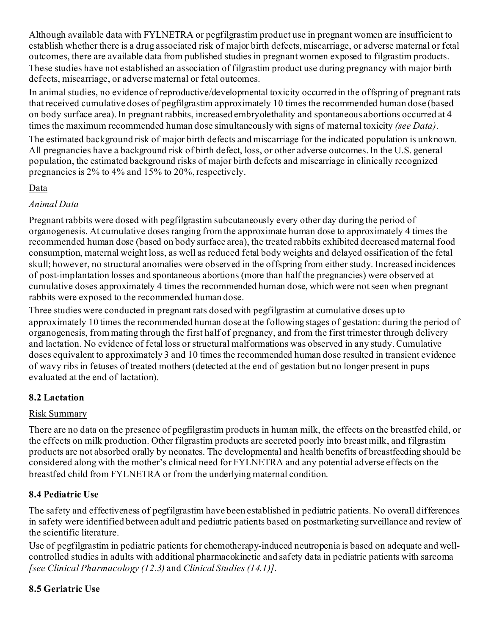Although available data with FYLNETRA or pegfilgrastim product use in pregnant women are insufficient to establish whether there is a drug associated risk of major birth defects, miscarriage, or adverse maternal or fetal outcomes, there are available data from published studies in pregnant women exposed to filgrastim products. These studies have not established an association of filgrastim product use during pregnancy with major birth defects, miscarriage, or adverse maternal or fetal outcomes.

In animal studies, no evidence of reproductive/developmental toxicity occurred in the offspring of pregnant rats that received cumulative doses of pegfilgrastim approximately 10 times the recommended human dose (based on body surface area). In pregnant rabbits, increased embryolethality and spontaneous abortions occurred at 4 times the maximum recommended human dose simultaneously with signs of maternal toxicity *(see Data)*.

The estimated background risk of major birth defects and miscarriage for the indicated population is unknown. All pregnancies have a background risk of birth defect, loss, or other adverse outcomes. In the U.S. general population, the estimated background risks of major birth defects and miscarriage in clinically recognized pregnancies is 2% to 4% and 15% to 20%, respectively.

### Data

### *Animal Data*

Pregnant rabbits were dosed with pegfilgrastim subcutaneously every other day during the period of organogenesis. At cumulative doses ranging from the approximate human dose to approximately 4 times the recommended human dose (based on body surface area), the treated rabbits exhibited decreased maternal food consumption, maternal weight loss, as well as reduced fetal body weights and delayed ossification of the fetal skull; however, no structural anomalies were observed in the offspring from either study. Increased incidences of post-implantation losses and spontaneous abortions (more than half the pregnancies) were observed at cumulative doses approximately 4 times the recommended human dose, which were not seen when pregnant rabbits were exposed to the recommended human dose.

Three studies were conducted in pregnant rats dosed with pegfilgrastim at cumulative doses up to approximately 10 times the recommended human dose at the following stages of gestation: during the period of organogenesis, from mating through the first half of pregnancy, and from the first trimester through delivery and lactation. No evidence of fetal loss or structural malformations was observed in any study. Cumulative doses equivalent to approximately 3 and 10 times the recommended human dose resulted in transient evidence of wavy ribs in fetuses of treated mothers (detected at the end of gestation but no longer present in pups evaluated at the end of lactation).

# **8.2 Lactation**

### Risk Summary

There are no data on the presence of pegfilgrastim products in human milk, the effects on the breastfed child, or the effects on milk production. Other filgrastim products are secreted poorly into breast milk, and filgrastim products are not absorbed orally by neonates. The developmental and health benefits of breastfeeding should be considered along with the mother's clinical need for FYLNETRA and any potential adverse effects on the breastfed child from FYLNETRA or from the underlying maternal condition.

# **8.4 Pediatric Use**

The safety and effectiveness of pegfilgrastim have been established in pediatric patients. No overall differences in safety were identified between adult and pediatric patients based on postmarketing surveillance and review of the scientific literature.

Use of pegfilgrastim in pediatric patients for chemotherapy-induced neutropenia is based on adequate and wellcontrolled studies in adults with additional pharmacokinetic and safety data in pediatric patients with sarcoma *[see Clinical Pharmacology (12.3)* and *Clinical Studies (14.1)]*.

# **8.5 Geriatric Use**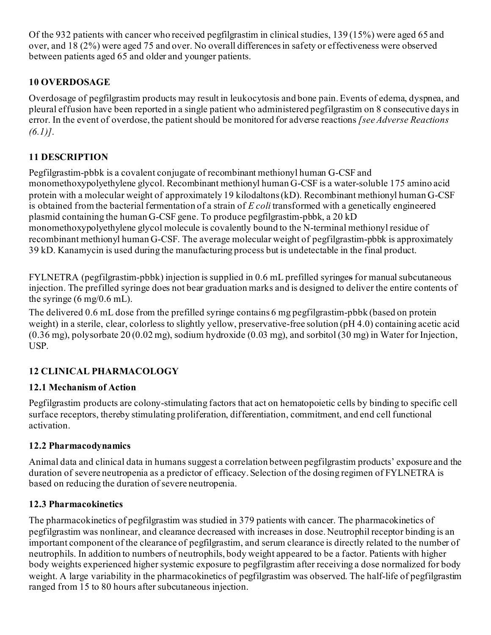Of the 932 patients with cancer who received pegfilgrastim in clinical studies, 139 (15%) were aged 65 and over, and 18 (2%) were aged 75 and over. No overall differences in safety or effectiveness were observed between patients aged 65 and older and younger patients.

# **10 OVERDOSAGE**

Overdosage of pegfilgrastim products may result in leukocytosis and bone pain. Events of edema, dyspnea, and pleural effusion have been reported in a single patient who administered pegfilgrastim on 8 consecutive days in error. In the event of overdose, the patient should be monitored for adverse reactions *[see Adverse Reactions (6.1)]*.

### **11 DESCRIPTION**

Pegfilgrastim-pbbk is a covalent conjugate of recombinant methionyl human G-CSF and monomethoxypolyethylene glycol. Recombinant methionyl human G-CSF is a water-soluble 175 amino acid protein with a molecular weight of approximately 19 kilodaltons (kD). Recombinant methionyl human G-CSF is obtained from the bacterial fermentation of a strain of *E coli* transformed with a genetically engineered plasmid containing the human G-CSF gene. To produce pegfilgrastim-pbbk, a 20 kD monomethoxypolyethylene glycol molecule is covalently bound to the N-terminal methionyl residue of recombinant methionyl human G-CSF. The average molecular weight of pegfilgrastim-pbbk is approximately 39 kD. Kanamycin is used during the manufacturing process but is undetectable in the final product.

FYLNETRA (pegfilgrastim-pbbk) injection is supplied in 0.6 mL prefilled syringes for manual subcutaneous injection. The prefilled syringe does not bear graduation marks and is designed to deliver the entire contents of the syringe  $(6 \text{ mg}/0.6 \text{ mL})$ .

The delivered 0.6 mL dose from the prefilled syringe contains 6 mg pegfilgrastim-pbbk (based on protein weight) in a sterile, clear, colorless to slightly yellow, preservative-free solution (pH 4.0) containing acetic acid (0.36 mg), polysorbate 20 (0.02 mg), sodium hydroxide (0.03 mg), and sorbitol (30 mg) in Water for Injection, USP.

# **12 CLINICAL PHARMACOLOGY**

### **12.1 Mechanism of Action**

Pegfilgrastim products are colony-stimulating factors that act on hematopoietic cells by binding to specific cell surface receptors, thereby stimulating proliferation, differentiation, commitment, and end cell functional activation.

### **12.2 Pharmacodynamics**

Animal data and clinical data in humans suggest a correlation between pegfilgrastim products' exposure and the duration of severe neutropenia as a predictor of efficacy. Selection of the dosing regimen of FYLNETRA is based on reducing the duration of severe neutropenia.

### **12.3 Pharmacokinetics**

The pharmacokinetics of pegfilgrastim was studied in 379 patients with cancer. The pharmacokinetics of pegfilgrastim was nonlinear, and clearance decreased with increases in dose. Neutrophil receptor binding is an important component of the clearance of pegfilgrastim, and serum clearance is directly related to the number of neutrophils. In addition to numbers of neutrophils, body weight appeared to be a factor. Patients with higher body weights experienced higher systemic exposure to pegfilgrastim after receiving a dose normalized for body weight. A large variability in the pharmacokinetics of pegfilgrastim was observed. The half-life of pegfilgrastim ranged from 15 to 80 hours after subcutaneous injection.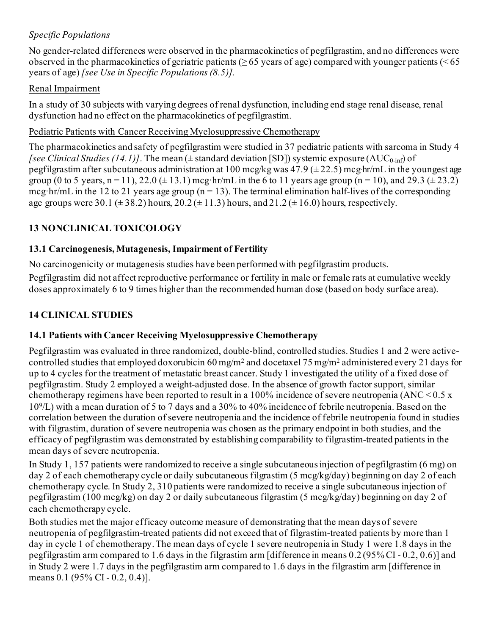# *Specific Populations*

No gender-related differences were observed in the pharmacokinetics of pegfilgrastim, and no differences were observed in the pharmacokinetics of geriatric patients ( $\geq 65$  years of age) compared with younger patients ( $\leq 65$ years of age) *[see Use in Specific Populations (8.5)]*.

### Renal Impairment

In a study of 30 subjects with varying degrees of renal dysfunction, including end stage renal disease, renal dysfunction had no effect on the pharmacokinetics of pegfilgrastim.

### Pediatric Patients with Cancer Receiving Myelosuppressive Chemotherapy

The pharmacokinetics and safety of pegfilgrastim were studied in 37 pediatric patients with sarcoma in Study 4 *[see Clinical Studies (14.1)]*. The mean ( $\pm$  standard deviation [SD]) systemic exposure (AUC<sub>0-inf</sub>) of pegfilgrastim after subcutaneous administration at  $100$  mcg/kg was  $47.9$  ( $\pm$  22.5) mcg hr/mL in the youngest age group (0 to 5 years, n = 11), 22.0 ( $\pm$  13.1) mcg·hr/mL in the 6 to 11 years age group (n = 10), and 29.3 ( $\pm$  23.2) mcg·hr/mL in the 12 to 21 years age group ( $n = 13$ ). The terminal elimination half-lives of the corresponding age groups were 30.1 ( $\pm$  38.2) hours, 20.2 ( $\pm$  11.3) hours, and 21.2 ( $\pm$  16.0) hours, respectively.

# **13 NONCLINICAL TOXICOLOGY**

# **13.1 Carcinogenesis, Mutagenesis, Impairment of Fertility**

No carcinogenicity or mutagenesis studies have been performed with pegfilgrastim products.

Pegfilgrastim did not affect reproductive performance or fertility in male or female rats at cumulative weekly doses approximately 6 to 9 times higher than the recommended human dose (based on body surface area).

# **14 CLINICAL STUDIES**

# **14.1 Patients with Cancer Receiving Myelosuppressive Chemotherapy**

Pegfilgrastim was evaluated in three randomized, double-blind, controlled studies. Studies 1 and 2 were activecontrolled studies that employed doxorubicin 60 mg/m2 and docetaxel 75 mg/m2 administered every 21 days for up to 4 cycles for the treatment of metastatic breast cancer. Study 1 investigated the utility of a fixed dose of pegfilgrastim. Study 2 employed a weight-adjusted dose. In the absence of growth factor support, similar chemotherapy regimens have been reported to result in a 100% incidence of severe neutropenia (ANC <  $0.5 \text{ x}$ ) 109/L) with a mean duration of 5 to 7 days and a 30% to 40% incidence of febrile neutropenia. Based on the correlation between the duration of severe neutropenia and the incidence of febrile neutropenia found in studies with filgrastim, duration of severe neutropenia was chosen as the primary endpoint in both studies, and the efficacy of pegfilgrastim was demonstrated by establishing comparability to filgrastim-treated patients in the mean days of severe neutropenia.

In Study 1, 157 patients were randomized to receive a single subcutaneous injection of pegfilgrastim (6 mg) on day 2 of each chemotherapy cycle or daily subcutaneous filgrastim (5 mcg/kg/day) beginning on day 2 of each chemotherapy cycle. In Study 2, 310 patients were randomized to receive a single subcutaneous injection of pegfilgrastim (100 mcg/kg) on day 2 or daily subcutaneous filgrastim (5 mcg/kg/day) beginning on day 2 of each chemotherapy cycle.

Both studies met the major efficacy outcome measure of demonstrating that the mean days of severe neutropenia of pegfilgrastim-treated patients did not exceed that of filgrastim-treated patients by more than 1 day in cycle 1 of chemotherapy. The mean days of cycle 1 severe neutropenia in Study 1 were 1.8 days in the pegfilgrastim arm compared to 1.6 days in the filgrastim arm [difference in means 0.2 (95% CI - 0.2, 0.6)] and in Study 2 were 1.7 days in the pegfilgrastim arm compared to 1.6 days in the filgrastim arm [difference in means 0.1 (95% CI - 0.2, 0.4)].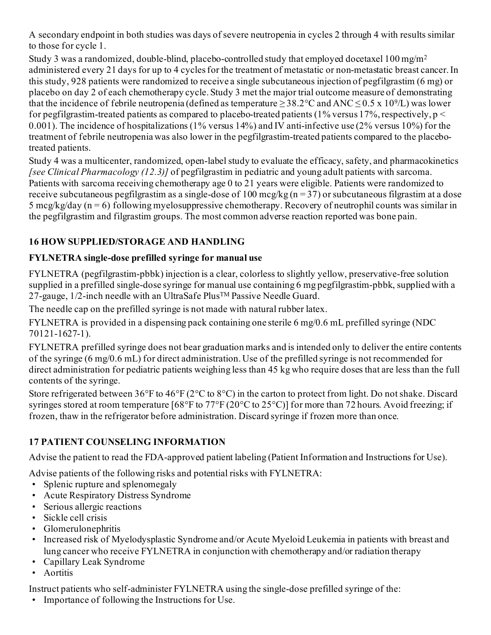A secondary endpoint in both studies was days of severe neutropenia in cycles 2 through 4 with results similar to those for cycle 1.

Study 3 was a randomized, double-blind, placebo-controlled study that employed docetaxel  $100 \,\text{mg/m}^2$ administered every 21 days for up to 4 cycles for the treatment of metastatic or non-metastatic breast cancer. In this study, 928 patients were randomized to receive a single subcutaneous injection of pegfilgrastim (6 mg) or placebo on day 2 of each chemotherapy cycle. Study 3 met the major trial outcome measure of demonstrating that the incidence of febrile neutropenia (defined as temperature  $\geq$  38.2°C and ANC  $\leq$  0.5 x 10<sup>9</sup>/L) was lower for pegfilgrastim-treated patients as compared to placebo-treated patients (1% versus 17%, respectively,  $p <$ 0.001). The incidence of hospitalizations (1% versus 14%) and IV anti-infective use (2% versus 10%) for the treatment of febrile neutropenia was also lower in the pegfilgrastim-treated patients compared to the placebotreated patients.

Study 4 was a multicenter, randomized, open-label study to evaluate the efficacy, safety, and pharmacokinetics *[see Clinical Pharmacology (12.3)]* of pegfilgrastim in pediatric and young adult patients with sarcoma. Patients with sarcoma receiving chemotherapy age 0 to 21 years were eligible. Patients were randomized to receive subcutaneous pegfilgrastim as a single-dose of 100 mcg/kg ( $n = 37$ ) or subcutaneous filgrastim at a dose 5 mcg/kg/day (n = 6) following myelosuppressive chemotherapy. Recovery of neutrophil counts was similar in the pegfilgrastim and filgrastim groups. The most common adverse reaction reported was bone pain.

# **16 HOW SUPPLIED/STORAGE AND HANDLING**

# **FYLNETRA single-dose prefilled syringe for manual use**

FYLNETRA (pegfilgrastim-pbbk) injection is a clear, colorless to slightly yellow, preservative-free solution supplied in a prefilled single-dose syringe for manual use containing 6 mg pegfilgrastim-pbbk, supplied with a 27-gauge, 1/2-inch needle with an UltraSafe PlusTM Passive Needle Guard.

The needle cap on the prefilled syringe is not made with natural rubber latex.

FYLNETRA is provided in a dispensing pack containing one sterile 6 mg/0.6 mL prefilled syringe (NDC 70121-1627-1).

FYLNETRA prefilled syringe does not bear graduation marks and is intended only to deliver the entire contents of the syringe (6 mg/0.6 mL) for direct administration. Use of the prefilled syringe is not recommended for direct administration for pediatric patients weighing less than 45 kg who require doses that are less than the full contents of the syringe.

Store refrigerated between 36°F to 46°F (2°C to 8°C) in the carton to protect from light. Do not shake. Discard syringes stored at room temperature [68°F to 77°F (20°C to 25°C)] for more than 72 hours. Avoid freezing; if frozen, thaw in the refrigerator before administration. Discard syringe if frozen more than once.

# **17 PATIENT COUNSELING INFORMATION**

Advise the patient to read the FDA-approved patient labeling (Patient Information and Instructions for Use).

Advise patients of the following risks and potential risks with FYLNETRA:

- Splenic rupture and splenomegaly
- Acute Respiratory Distress Syndrome
- Serious allergic reactions
- Sickle cell crisis
- Glomerulonephritis
- Increased risk of Myelodysplastic Syndrome and/or Acute Myeloid Leukemia in patients with breast and lung cancer who receive FYLNETRA in conjunction with chemotherapy and/or radiation therapy
- Capillary Leak Syndrome
- Aortitis

Instruct patients who self-administer FYLNETRA using the single-dose prefilled syringe of the:

• Importance of following the Instructions for Use.